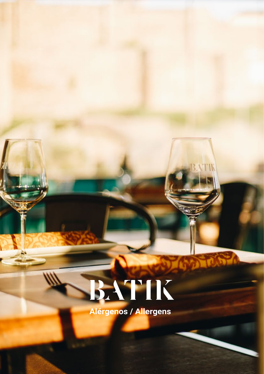Alérgenos / Allergens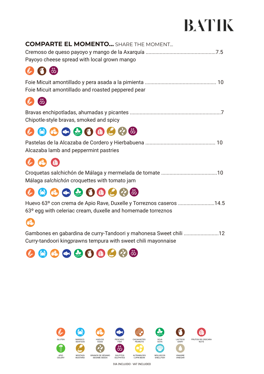| <b>COMPARTE EL MOMENTO</b> SHARE THE MOMENT<br>Payoyo cheese spread with local grown mango |
|--------------------------------------------------------------------------------------------|
|                                                                                            |
| Foie Micuit amontillado and roasted peppered pear                                          |
|                                                                                            |
| Chipotle-style bravas, smoked and spicy                                                    |
| 866800608                                                                                  |
| Alcazaba lamb and peppermint pastries                                                      |
|                                                                                            |
| Málaga salchichón croquettes with tomato jam                                               |
| o                                                                                          |

#### Huevo 63º con crema de Apio Rave, Duxelle y Torreznos caseros ..........................14.5 63º egg with celeriac cream, duxelle and homemade torreznos



Gambones en gabardina de curry-Tandoori y mahonesa Sweet chili .........................12 Curry-tandoori kingprawns tempura with sweet chili mayonnaise



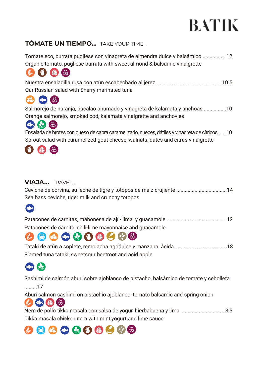#### **TÓMATE UN TIEMPO...** TAKE YOUR TIME...

Tomate eco, burrata pugliese con vinagreta de almendra dulce y balsámico ................ 12 Organic tomato, pugliese burrata with sweet almond & balsamic vinaigrette  $\begin{pmatrix} 1 \\ 1 \\ 2 \end{pmatrix}$ (dm) 6 Nuestra ensaladilla rusa con atún escabechado al jerez ...............................................10.5 Our Russian salad with Sherry marinated tuna  $\sigma$ 6 Salmorejo de naranja, bacalao ahumado y vinagreta de kalamata y anchoas ................10 Orange salmorejo, smoked cod, kalamata vinaigrette and anchovies 60 4 8 Ensalada de brotes con queso de cabra caramelizado, nueces, dátiles y vinagreta de cítricos .......10 Sprout salad with caramelized goat cheese, walnuts, dates and citrus vinaigrette

#### **VIAJA...** TRAVEL...

| Ceviche de corvina, su leche de tigre y totopos de maíz crujiente 14 |  |
|----------------------------------------------------------------------|--|
| Sea bass ceviche, tiger milk and crunchy totopos                     |  |



| Patacones de carnita, chili-lime mayonnaise and quacamole |  |
|-----------------------------------------------------------|--|

## Patacones de carnita, chili-lime mayonnaise and guacamole

| Flamed tuna tataki, sweetsour beetroot and acid apple |  |
|-------------------------------------------------------|--|

## **OR 63**

Sashimi de calmón aburi sobre ajoblanco de pistacho, balsámico de tomate y cebolleta .........17

Aburi salmon sashimi on pistachio ajoblanco, tomato balsamic and spring onion

 $(\psi$  or  $(\mathbb{R})$   $\otimes$ Nem de pollo tikka masala con salsa de yogur, hierbabuena y lima .............................. 3,5 Tikka masala chicken nem with mint,yogurt and lime sauce

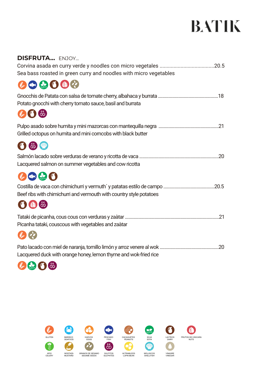| <b>DISFRUTA ENJOY</b>                                               |  |
|---------------------------------------------------------------------|--|
|                                                                     |  |
| Sea bass roasted in green curry and noodles with micro vegetables   |  |
| $\bullet$ 39000                                                     |  |
| Potato gnocchi with cherry tomato sauce, basil and burrata          |  |
| VS &                                                                |  |
| Grilled octopus on humita and mini corncobs with black butter       |  |
| 6 第 4                                                               |  |
|                                                                     |  |
| Lacquered salmon on summer vegetables and cow ricotta               |  |
| 2000                                                                |  |
| Beef ribs with chimichurri and vermouth with country style potatoes |  |
| UOE                                                                 |  |
|                                                                     |  |
| Picanha tataki, couscous with vegetables and zaàtar                 |  |
|                                                                     |  |
|                                                                     |  |

Lacquered duck with orange honey, lemon thyme and wok-fried rice